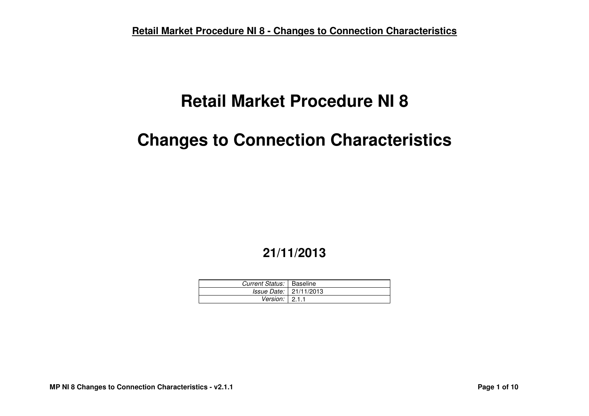# **Retail Market Procedure NI 8**

# **Changes to Connection Characteristics**

# **21/11/2013**

| Current Status:   Baseline   |                                 |
|------------------------------|---------------------------------|
|                              | <i>Issue Date:</i>   21/11/2013 |
| Version: $\vert 2.1.1 \vert$ |                                 |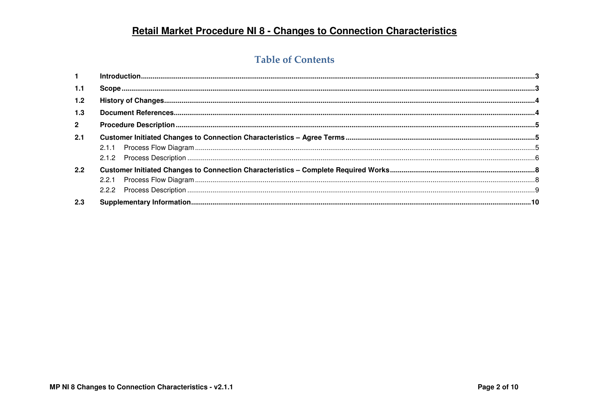### **Table of Contents**

| $\mathbf{1}$   |  |  |  |
|----------------|--|--|--|
| 1.1            |  |  |  |
| 1.2            |  |  |  |
| 1.3            |  |  |  |
| $\overline{2}$ |  |  |  |
| 2.1            |  |  |  |
|                |  |  |  |
|                |  |  |  |
| $2.2^{\circ}$  |  |  |  |
|                |  |  |  |
|                |  |  |  |
| 2.3            |  |  |  |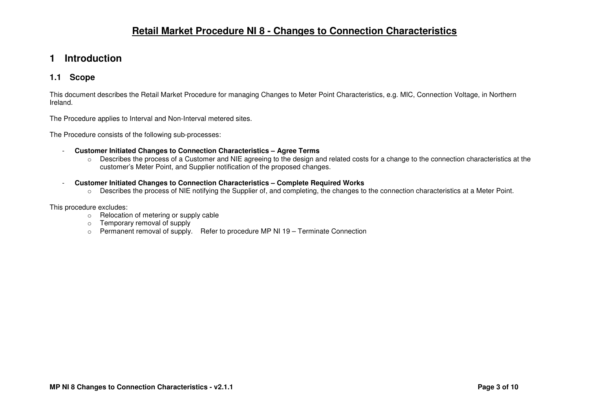### **1 Introduction**

#### **1.1 Scope**

This document describes the Retail Market Procedure for managing Changes to Meter Point Characteristics, e.g. MIC, Connection Voltage, in Northern Ireland.

The Procedure applies to Interval and Non-Interval metered sites.

The Procedure consists of the following sub-processes:

- **Customer Initiated Changes to Connection Characteristics Agree Terms** 
	- o Describes the process of a Customer and NIE agreeing to the design and related costs for a change to the connection characteristics at the customer's Meter Point, and Supplier notification of the proposed changes.
- **Customer Initiated Changes to Connection Characteristics Complete Required Works** 
	- o Describes the process of NIE notifying the Supplier of, and completing, the changes to the connection characteristics at a Meter Point.

This procedure excludes:

- $\circ$  Relocation of metering or supply cable
- o Temporary removal of supply
- $\circ$  Permanent removal of supply. Refer to procedure MP NI 19 Terminate Connection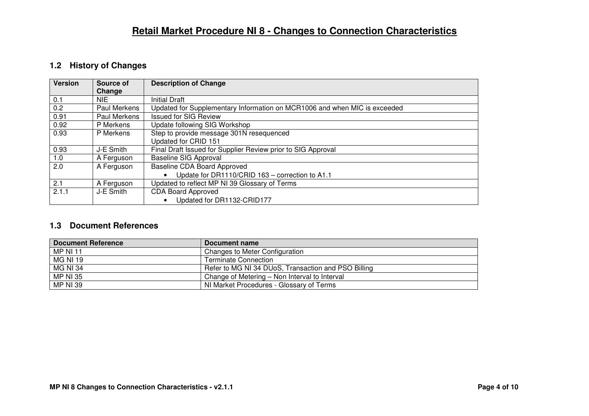### **1.2 History of Changes**

| <b>Version</b> | Source of    | <b>Description of Change</b>                                              |
|----------------|--------------|---------------------------------------------------------------------------|
|                | Change       |                                                                           |
| 0.1            | <b>NIE</b>   | <b>Initial Draft</b>                                                      |
| 0.2            | Paul Merkens | Updated for Supplementary Information on MCR1006 and when MIC is exceeded |
| 0.91           | Paul Merkens | <b>Issued for SIG Review</b>                                              |
| 0.92           | P Merkens    | Update following SIG Workshop                                             |
| 0.93           | P Merkens    | Step to provide message 301N resequenced                                  |
|                |              | Updated for CRID 151                                                      |
| 0.93           | J-E Smith    | Final Draft Issued for Supplier Review prior to SIG Approval              |
| 1.0            | A Ferguson   | <b>Baseline SIG Approval</b>                                              |
| 2.0            | A Ferguson   | Baseline CDA Board Approved                                               |
|                |              | Update for DR1110/CRID 163 - correction to A1.1                           |
| 2.1            | A Ferguson   | Updated to reflect MP NI 39 Glossary of Terms                             |
| 2.1.1          | J-E Smith    | <b>CDA Board Approved</b>                                                 |
|                |              | Updated for DR1132-CRID177<br>$\bullet$                                   |

#### **1.3 Document References**

| <b>Document Reference</b> | Document name                                       |
|---------------------------|-----------------------------------------------------|
| <b>MP NI 11</b>           | Changes to Meter Configuration                      |
| MG NI 19                  | Terminate Connection                                |
| <b>MG NI 34</b>           | Refer to MG NI 34 DUoS, Transaction and PSO Billing |
| <b>MP NI 35</b>           | Change of Metering - Non Interval to Interval       |
| <b>MP NI 39</b>           | NI Market Procedures - Glossary of Terms            |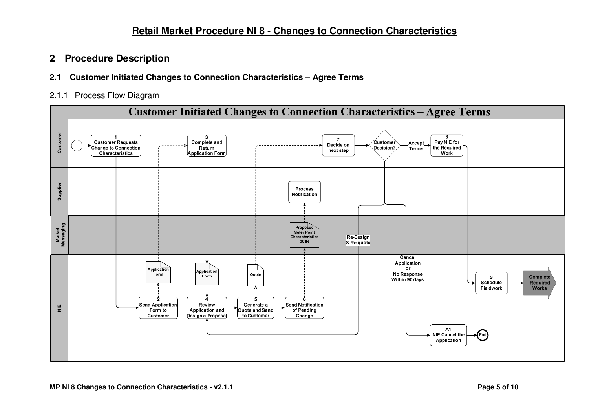### **2 Procedure Description**

- **2.1 Customer Initiated Changes to Connection Characteristics Agree Terms**
- 2.1.1 Process Flow Diagram

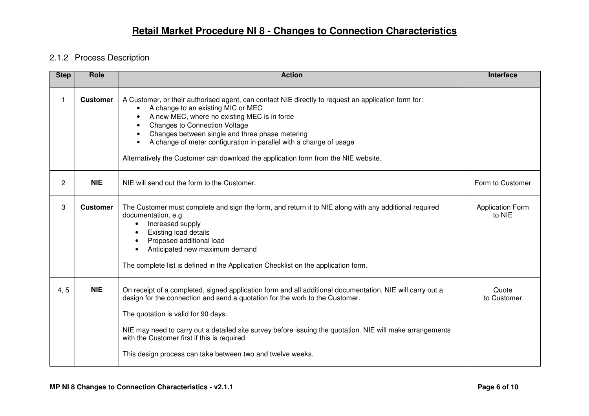### 2.1.2 Process Description

| <b>Step</b>    | Role            | <b>Action</b>                                                                                                                                                                                                                                                                                                                                                                                                                                                                                                     | <b>Interface</b>                  |
|----------------|-----------------|-------------------------------------------------------------------------------------------------------------------------------------------------------------------------------------------------------------------------------------------------------------------------------------------------------------------------------------------------------------------------------------------------------------------------------------------------------------------------------------------------------------------|-----------------------------------|
| 1.             | <b>Customer</b> | A Customer, or their authorised agent, can contact NIE directly to request an application form for:<br>A change to an existing MIC or MEC<br>$\bullet$<br>A new MEC, where no existing MEC is in force<br>$\bullet$<br><b>Changes to Connection Voltage</b><br>$\bullet$<br>Changes between single and three phase metering<br>$\bullet$<br>A change of meter configuration in parallel with a change of usage<br>$\bullet$<br>Alternatively the Customer can download the application form from the NIE website. |                                   |
| $\overline{2}$ | <b>NIE</b>      | NIE will send out the form to the Customer.                                                                                                                                                                                                                                                                                                                                                                                                                                                                       | Form to Customer                  |
| 3              | <b>Customer</b> | The Customer must complete and sign the form, and return it to NIE along with any additional required<br>documentation, e.g.<br>Increased supply<br><b>Existing load details</b><br>Proposed additional load<br>Anticipated new maximum demand<br>$\bullet$<br>The complete list is defined in the Application Checklist on the application form.                                                                                                                                                                 | <b>Application Form</b><br>to NIE |
| 4, 5           | <b>NIE</b>      | On receipt of a completed, signed application form and all additional documentation, NIE will carry out a<br>design for the connection and send a quotation for the work to the Customer.<br>The quotation is valid for 90 days.<br>NIE may need to carry out a detailed site survey before issuing the quotation. NIE will make arrangements<br>with the Customer first if this is required<br>This design process can take between two and twelve weeks.                                                        | Quote<br>to Customer              |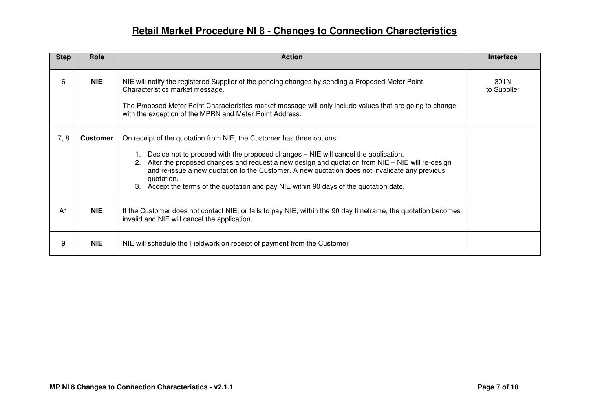| <b>Step</b>    | Role            | <b>Action</b>                                                                                                                                                                                                                                                                                                                                                                                                                                                               | Interface           |
|----------------|-----------------|-----------------------------------------------------------------------------------------------------------------------------------------------------------------------------------------------------------------------------------------------------------------------------------------------------------------------------------------------------------------------------------------------------------------------------------------------------------------------------|---------------------|
| 6              | <b>NIE</b>      | NIE will notify the registered Supplier of the pending changes by sending a Proposed Meter Point<br>Characteristics market message.<br>The Proposed Meter Point Characteristics market message will only include values that are going to change,<br>with the exception of the MPRN and Meter Point Address.                                                                                                                                                                | 301N<br>to Supplier |
| 7, 8           | <b>Customer</b> | On receipt of the quotation from NIE, the Customer has three options:<br>Decide not to proceed with the proposed changes – NIE will cancel the application.<br>2. Alter the proposed changes and request a new design and quotation from NIE – NIE will re-design<br>and re-issue a new quotation to the Customer. A new quotation does not invalidate any previous<br>quotation.<br>3. Accept the terms of the quotation and pay NIE within 90 days of the quotation date. |                     |
| A <sub>1</sub> | <b>NIE</b>      | If the Customer does not contact NIE, or fails to pay NIE, within the 90 day timeframe, the quotation becomes<br>invalid and NIE will cancel the application.                                                                                                                                                                                                                                                                                                               |                     |
| 9              | <b>NIE</b>      | NIE will schedule the Fieldwork on receipt of payment from the Customer                                                                                                                                                                                                                                                                                                                                                                                                     |                     |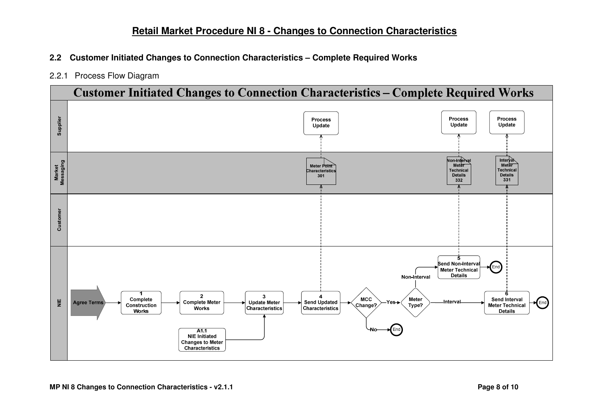- **2.2 Customer Initiated Changes to Connection Characteristics Complete Required Works**
- 2.2.1 Process Flow Diagram

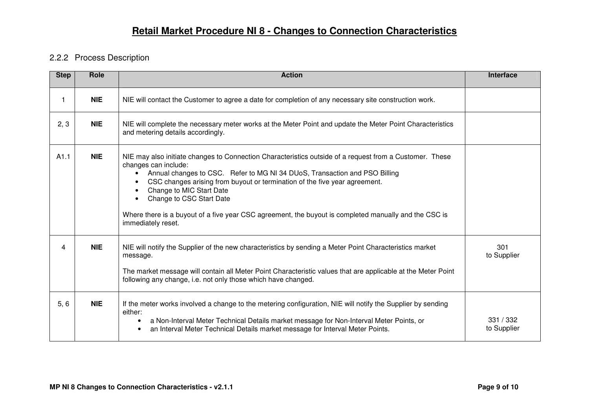### 2.2.2 Process Description

| <b>Step</b> | Role       | <b>Action</b>                                                                                                                                                                                                                                                                                                                                                                                                                                                                                   | Interface                |
|-------------|------------|-------------------------------------------------------------------------------------------------------------------------------------------------------------------------------------------------------------------------------------------------------------------------------------------------------------------------------------------------------------------------------------------------------------------------------------------------------------------------------------------------|--------------------------|
| $\mathbf 1$ | <b>NIE</b> | NIE will contact the Customer to agree a date for completion of any necessary site construction work.                                                                                                                                                                                                                                                                                                                                                                                           |                          |
| 2, 3        | <b>NIE</b> | NIE will complete the necessary meter works at the Meter Point and update the Meter Point Characteristics<br>and metering details accordingly.                                                                                                                                                                                                                                                                                                                                                  |                          |
| A1.1        | <b>NIE</b> | NIE may also initiate changes to Connection Characteristics outside of a request from a Customer. These<br>changes can include:<br>Annual changes to CSC. Refer to MG NI 34 DUoS, Transaction and PSO Billing<br>$\bullet$<br>CSC changes arising from buyout or termination of the five year agreement.<br>Change to MIC Start Date<br>Change to CSC Start Date<br>Where there is a buyout of a five year CSC agreement, the buyout is completed manually and the CSC is<br>immediately reset. |                          |
| 4           | <b>NIE</b> | NIE will notify the Supplier of the new characteristics by sending a Meter Point Characteristics market<br>message.<br>The market message will contain all Meter Point Characteristic values that are applicable at the Meter Point<br>following any change, i.e. not only those which have changed.                                                                                                                                                                                            | 301<br>to Supplier       |
| 5, 6        | <b>NIE</b> | If the meter works involved a change to the metering configuration, NIE will notify the Supplier by sending<br>either:<br>a Non-Interval Meter Technical Details market message for Non-Interval Meter Points, or<br>an Interval Meter Technical Details market message for Interval Meter Points.<br>$\bullet$                                                                                                                                                                                 | 331 / 332<br>to Supplier |